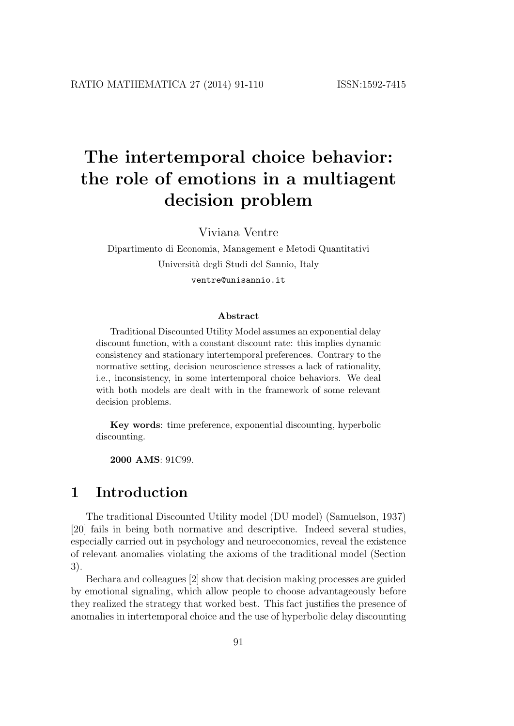Viviana Ventre

Dipartimento di Economia, Management e Metodi Quantitativi Università degli Studi del Sannio, Italy ventre@unisannio.it

#### Abstract

Traditional Discounted Utility Model assumes an exponential delay discount function, with a constant discount rate: this implies dynamic consistency and stationary intertemporal preferences. Contrary to the normative setting, decision neuroscience stresses a lack of rationality, i.e., inconsistency, in some intertemporal choice behaviors. We deal with both models are dealt with in the framework of some relevant decision problems.

Key words: time preference, exponential discounting, hyperbolic discounting.

2000 AMS: 91C99.

### 1 Introduction

The traditional Discounted Utility model (DU model) (Samuelson, 1937) [20] fails in being both normative and descriptive. Indeed several studies, especially carried out in psychology and neuroeconomics, reveal the existence of relevant anomalies violating the axioms of the traditional model (Section 3).

Bechara and colleagues [2] show that decision making processes are guided by emotional signaling, which allow people to choose advantageously before they realized the strategy that worked best. This fact justifies the presence of anomalies in intertemporal choice and the use of hyperbolic delay discounting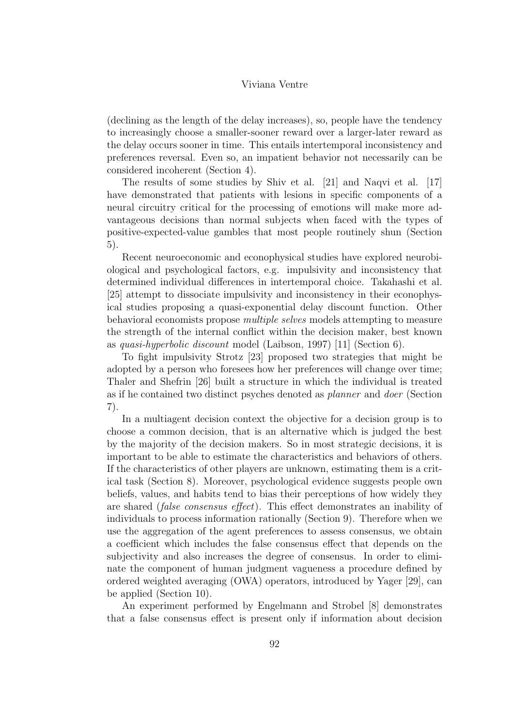(declining as the length of the delay increases), so, people have the tendency to increasingly choose a smaller-sooner reward over a larger-later reward as the delay occurs sooner in time. This entails intertemporal inconsistency and preferences reversal. Even so, an impatient behavior not necessarily can be considered incoherent (Section 4).

The results of some studies by Shiv et al. [21] and Naqvi et al. [17] have demonstrated that patients with lesions in specific components of a neural circuitry critical for the processing of emotions will make more advantageous decisions than normal subjects when faced with the types of positive-expected-value gambles that most people routinely shun (Section 5).

Recent neuroeconomic and econophysical studies have explored neurobiological and psychological factors, e.g. impulsivity and inconsistency that determined individual differences in intertemporal choice. Takahashi et al. [25] attempt to dissociate impulsivity and inconsistency in their econophysical studies proposing a quasi-exponential delay discount function. Other behavioral economists propose multiple selves models attempting to measure the strength of the internal conflict within the decision maker, best known as quasi-hyperbolic discount model (Laibson, 1997) [11] (Section 6).

To fight impulsivity Strotz [23] proposed two strategies that might be adopted by a person who foresees how her preferences will change over time; Thaler and Shefrin [26] built a structure in which the individual is treated as if he contained two distinct psyches denoted as planner and doer (Section 7).

In a multiagent decision context the objective for a decision group is to choose a common decision, that is an alternative which is judged the best by the majority of the decision makers. So in most strategic decisions, it is important to be able to estimate the characteristics and behaviors of others. If the characteristics of other players are unknown, estimating them is a critical task (Section 8). Moreover, psychological evidence suggests people own beliefs, values, and habits tend to bias their perceptions of how widely they are shared (false consensus effect). This effect demonstrates an inability of individuals to process information rationally (Section 9). Therefore when we use the aggregation of the agent preferences to assess consensus, we obtain a coefficient which includes the false consensus effect that depends on the subjectivity and also increases the degree of consensus. In order to eliminate the component of human judgment vagueness a procedure defined by ordered weighted averaging (OWA) operators, introduced by Yager [29], can be applied (Section 10).

An experiment performed by Engelmann and Strobel [8] demonstrates that a false consensus effect is present only if information about decision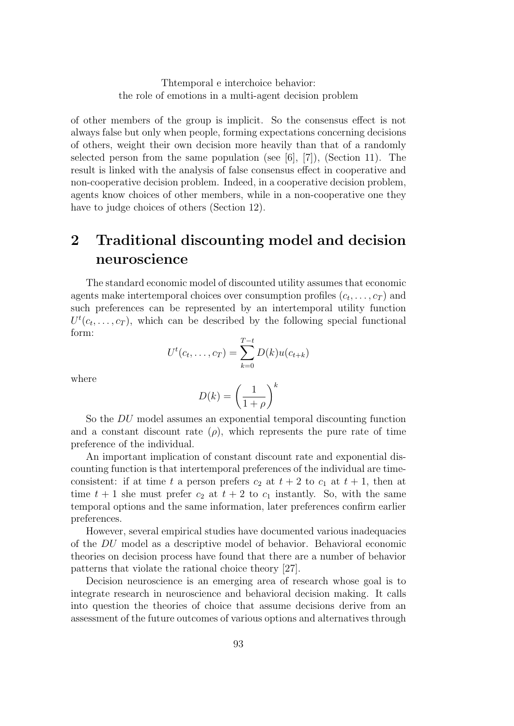of other members of the group is implicit. So the consensus effect is not always false but only when people, forming expectations concerning decisions of others, weight their own decision more heavily than that of a randomly selected person from the same population (see  $[6]$ ,  $[7]$ ), (Section 11). The result is linked with the analysis of false consensus effect in cooperative and non-cooperative decision problem. Indeed, in a cooperative decision problem, agents know choices of other members, while in a non-cooperative one they have to judge choices of others (Section 12).

## 2 Traditional discounting model and decision neuroscience

The standard economic model of discounted utility assumes that economic agents make intertemporal choices over consumption profiles  $(c_t, \ldots, c_T)$  and such preferences can be represented by an intertemporal utility function  $U^t(c_t, \ldots, c_T)$ , which can be described by the following special functional form:

$$
U^{t}(c_{t},...,c_{T}) = \sum_{k=0}^{T-t} D(k)u(c_{t+k})
$$

where

$$
D(k) = \left(\frac{1}{1+\rho}\right)^k
$$

So the DU model assumes an exponential temporal discounting function and a constant discount rate  $(\rho)$ , which represents the pure rate of time preference of the individual.

An important implication of constant discount rate and exponential discounting function is that intertemporal preferences of the individual are timeconsistent: if at time t a person prefers  $c_2$  at  $t + 2$  to  $c_1$  at  $t + 1$ , then at time  $t + 1$  she must prefer  $c_2$  at  $t + 2$  to  $c_1$  instantly. So, with the same temporal options and the same information, later preferences confirm earlier preferences.

However, several empirical studies have documented various inadequacies of the DU model as a descriptive model of behavior. Behavioral economic theories on decision process have found that there are a number of behavior patterns that violate the rational choice theory [27].

Decision neuroscience is an emerging area of research whose goal is to integrate research in neuroscience and behavioral decision making. It calls into question the theories of choice that assume decisions derive from an assessment of the future outcomes of various options and alternatives through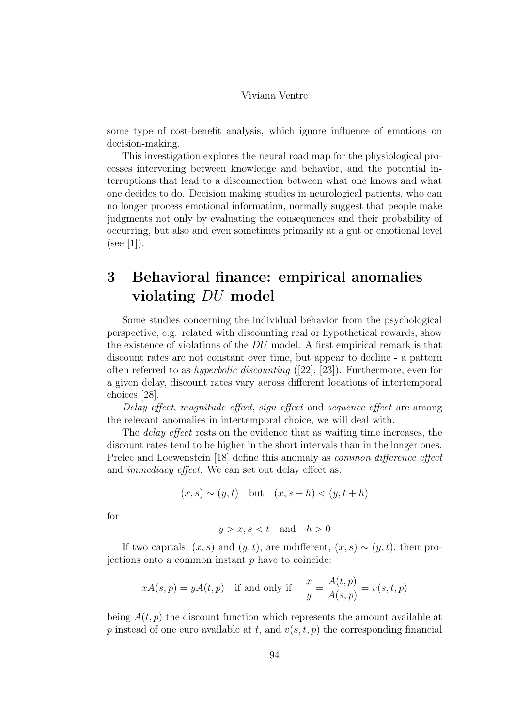some type of cost-benefit analysis, which ignore influence of emotions on decision-making.

This investigation explores the neural road map for the physiological processes intervening between knowledge and behavior, and the potential interruptions that lead to a disconnection between what one knows and what one decides to do. Decision making studies in neurological patients, who can no longer process emotional information, normally suggest that people make judgments not only by evaluating the consequences and their probability of occurring, but also and even sometimes primarily at a gut or emotional level  $(see [1]).$ 

### 3 Behavioral finance: empirical anomalies violating DU model

Some studies concerning the individual behavior from the psychological perspective, e.g. related with discounting real or hypothetical rewards, show the existence of violations of the DU model. A first empirical remark is that discount rates are not constant over time, but appear to decline - a pattern often referred to as hyperbolic discounting ([22], [23]). Furthermore, even for a given delay, discount rates vary across different locations of intertemporal choices [28].

Delay effect, magnitude effect, sign effect and sequence effect are among the relevant anomalies in intertemporal choice, we will deal with.

The *delay effect* rests on the evidence that as waiting time increases, the discount rates tend to be higher in the short intervals than in the longer ones. Prelec and Loewenstein [18] define this anomaly as common difference effect and immediacy effect. We can set out delay effect as:

$$
(x, s) \sim (y, t) \quad \text{but} \quad (x, s+h) < (y, t+h)
$$

for

$$
y > x, s < t \quad \text{and} \quad h > 0
$$

If two capitals,  $(x, s)$  and  $(y, t)$ , are indifferent,  $(x, s) \sim (y, t)$ , their projections onto a common instant  $p$  have to coincide:

$$
xA(s,p) = yA(t,p)
$$
 if and only if  $\frac{x}{y} = \frac{A(t,p)}{A(s,p)} = v(s,t,p)$ 

being  $A(t, p)$  the discount function which represents the amount available at p instead of one euro available at t, and  $v(s, t, p)$  the corresponding financial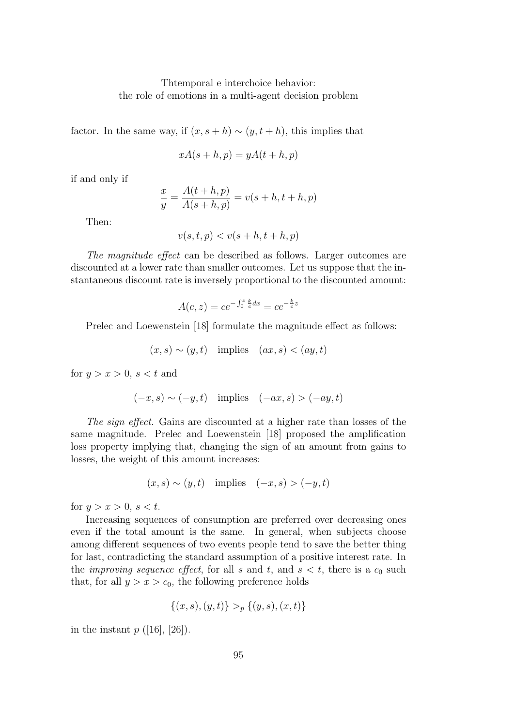factor. In the same way, if  $(x, s+h) \sim (y, t+h)$ , this implies that

$$
xA(s+h,p) = yA(t+h,p)
$$

if and only if

$$
\frac{x}{y} = \frac{A(t + h, p)}{A(s + h, p)} = v(s + h, t + h, p)
$$

Then:

$$
v(s,t,p) < v(s+h,t+h,p)
$$

The magnitude effect can be described as follows. Larger outcomes are discounted at a lower rate than smaller outcomes. Let us suppose that the instantaneous discount rate is inversely proportional to the discounted amount:

$$
A(c, z) = ce^{-\int_0^z \frac{k}{c} dx} = ce^{-\frac{k}{c}z}
$$

Prelec and Loewenstein [18] formulate the magnitude effect as follows:

$$
(x, s) \sim (y, t)
$$
 implies  $(ax, s) < (ay, t)$ 

for  $y > x > 0$ ,  $s < t$  and

$$
(-x, s) \sim (-y, t) \quad \text{implies} \quad (-ax, s) > (-ay, t)
$$

The sign effect. Gains are discounted at a higher rate than losses of the same magnitude. Prelec and Loewenstein [18] proposed the amplification loss property implying that, changing the sign of an amount from gains to losses, the weight of this amount increases:

$$
(x, s) \sim (y, t) \quad \text{implies} \quad (-x, s) > (-y, t)
$$

for  $y > x > 0$ ,  $s < t$ .

Increasing sequences of consumption are preferred over decreasing ones even if the total amount is the same. In general, when subjects choose among different sequences of two events people tend to save the better thing for last, contradicting the standard assumption of a positive interest rate. In the *improving sequence effect*, for all s and t, and  $s < t$ , there is a  $c_0$  such that, for all  $y > x > c_0$ , the following preference holds

$$
\{(x,s),(y,t)\} >_p \{(y,s),(x,t)\}
$$

in the instant  $p([16], [26])$ .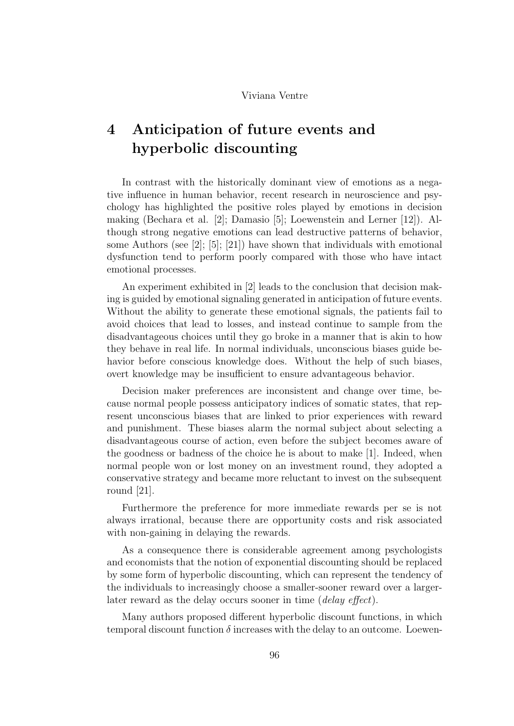## 4 Anticipation of future events and hyperbolic discounting

In contrast with the historically dominant view of emotions as a negative influence in human behavior, recent research in neuroscience and psychology has highlighted the positive roles played by emotions in decision making (Bechara et al. [2]; Damasio [5]; Loewenstein and Lerner [12]). Although strong negative emotions can lead destructive patterns of behavior, some Authors (see [2]; [5]; [21]) have shown that individuals with emotional dysfunction tend to perform poorly compared with those who have intact emotional processes.

An experiment exhibited in [2] leads to the conclusion that decision making is guided by emotional signaling generated in anticipation of future events. Without the ability to generate these emotional signals, the patients fail to avoid choices that lead to losses, and instead continue to sample from the disadvantageous choices until they go broke in a manner that is akin to how they behave in real life. In normal individuals, unconscious biases guide behavior before conscious knowledge does. Without the help of such biases, overt knowledge may be insufficient to ensure advantageous behavior.

Decision maker preferences are inconsistent and change over time, because normal people possess anticipatory indices of somatic states, that represent unconscious biases that are linked to prior experiences with reward and punishment. These biases alarm the normal subject about selecting a disadvantageous course of action, even before the subject becomes aware of the goodness or badness of the choice he is about to make [1]. Indeed, when normal people won or lost money on an investment round, they adopted a conservative strategy and became more reluctant to invest on the subsequent round [21].

Furthermore the preference for more immediate rewards per se is not always irrational, because there are opportunity costs and risk associated with non-gaining in delaying the rewards.

As a consequence there is considerable agreement among psychologists and economists that the notion of exponential discounting should be replaced by some form of hyperbolic discounting, which can represent the tendency of the individuals to increasingly choose a smaller-sooner reward over a largerlater reward as the delay occurs sooner in time *(delay effect)*.

Many authors proposed different hyperbolic discount functions, in which temporal discount function  $\delta$  increases with the delay to an outcome. Loewen-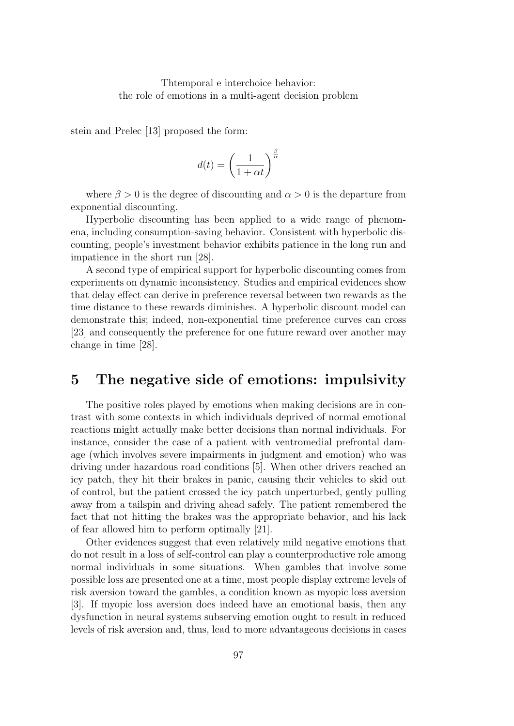stein and Prelec [13] proposed the form:

$$
d(t)=\left(\frac{1}{1+\alpha t}\right)^{\frac{\beta}{\alpha}}
$$

where  $\beta > 0$  is the degree of discounting and  $\alpha > 0$  is the departure from exponential discounting.

Hyperbolic discounting has been applied to a wide range of phenomena, including consumption-saving behavior. Consistent with hyperbolic discounting, people's investment behavior exhibits patience in the long run and impatience in the short run [28].

A second type of empirical support for hyperbolic discounting comes from experiments on dynamic inconsistency. Studies and empirical evidences show that delay effect can derive in preference reversal between two rewards as the time distance to these rewards diminishes. A hyperbolic discount model can demonstrate this; indeed, non-exponential time preference curves can cross [23] and consequently the preference for one future reward over another may change in time [28].

### 5 The negative side of emotions: impulsivity

The positive roles played by emotions when making decisions are in contrast with some contexts in which individuals deprived of normal emotional reactions might actually make better decisions than normal individuals. For instance, consider the case of a patient with ventromedial prefrontal damage (which involves severe impairments in judgment and emotion) who was driving under hazardous road conditions [5]. When other drivers reached an icy patch, they hit their brakes in panic, causing their vehicles to skid out of control, but the patient crossed the icy patch unperturbed, gently pulling away from a tailspin and driving ahead safely. The patient remembered the fact that not hitting the brakes was the appropriate behavior, and his lack of fear allowed him to perform optimally [21].

Other evidences suggest that even relatively mild negative emotions that do not result in a loss of self-control can play a counterproductive role among normal individuals in some situations. When gambles that involve some possible loss are presented one at a time, most people display extreme levels of risk aversion toward the gambles, a condition known as myopic loss aversion [3]. If myopic loss aversion does indeed have an emotional basis, then any dysfunction in neural systems subserving emotion ought to result in reduced levels of risk aversion and, thus, lead to more advantageous decisions in cases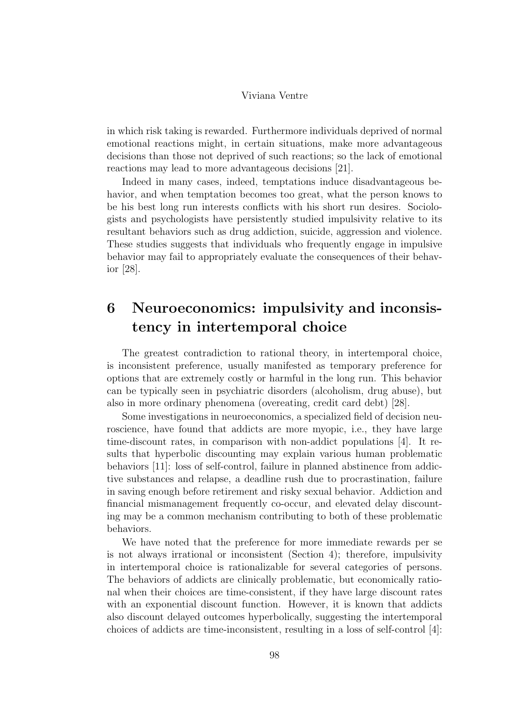in which risk taking is rewarded. Furthermore individuals deprived of normal emotional reactions might, in certain situations, make more advantageous decisions than those not deprived of such reactions; so the lack of emotional reactions may lead to more advantageous decisions [21].

Indeed in many cases, indeed, temptations induce disadvantageous behavior, and when temptation becomes too great, what the person knows to be his best long run interests conflicts with his short run desires. Sociologists and psychologists have persistently studied impulsivity relative to its resultant behaviors such as drug addiction, suicide, aggression and violence. These studies suggests that individuals who frequently engage in impulsive behavior may fail to appropriately evaluate the consequences of their behavior [28].

### 6 Neuroeconomics: impulsivity and inconsistency in intertemporal choice

The greatest contradiction to rational theory, in intertemporal choice, is inconsistent preference, usually manifested as temporary preference for options that are extremely costly or harmful in the long run. This behavior can be typically seen in psychiatric disorders (alcoholism, drug abuse), but also in more ordinary phenomena (overeating, credit card debt) [28].

Some investigations in neuroeconomics, a specialized field of decision neuroscience, have found that addicts are more myopic, i.e., they have large time-discount rates, in comparison with non-addict populations [4]. It results that hyperbolic discounting may explain various human problematic behaviors [11]: loss of self-control, failure in planned abstinence from addictive substances and relapse, a deadline rush due to procrastination, failure in saving enough before retirement and risky sexual behavior. Addiction and financial mismanagement frequently co-occur, and elevated delay discounting may be a common mechanism contributing to both of these problematic behaviors.

We have noted that the preference for more immediate rewards per se is not always irrational or inconsistent (Section 4); therefore, impulsivity in intertemporal choice is rationalizable for several categories of persons. The behaviors of addicts are clinically problematic, but economically rational when their choices are time-consistent, if they have large discount rates with an exponential discount function. However, it is known that addicts also discount delayed outcomes hyperbolically, suggesting the intertemporal choices of addicts are time-inconsistent, resulting in a loss of self-control [4]: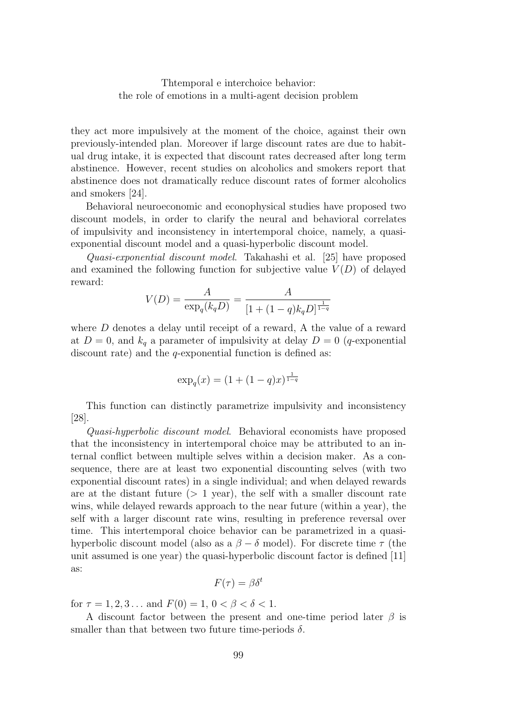they act more impulsively at the moment of the choice, against their own previously-intended plan. Moreover if large discount rates are due to habitual drug intake, it is expected that discount rates decreased after long term abstinence. However, recent studies on alcoholics and smokers report that abstinence does not dramatically reduce discount rates of former alcoholics and smokers [24].

Behavioral neuroeconomic and econophysical studies have proposed two discount models, in order to clarify the neural and behavioral correlates of impulsivity and inconsistency in intertemporal choice, namely, a quasiexponential discount model and a quasi-hyperbolic discount model.

Quasi-exponential discount model. Takahashi et al. [25] have proposed and examined the following function for subjective value  $V(D)$  of delayed reward:

$$
V(D) = \frac{A}{\exp_q(k_q D)} = \frac{A}{[1 + (1 - q)k_q D]^{\frac{1}{1 - q}}}
$$

where D denotes a delay until receipt of a reward, A the value of a reward at  $D = 0$ , and  $k_q$  a parameter of impulsivity at delay  $D = 0$  (q-exponential discount rate) and the  $q$ -exponential function is defined as:

$$
\exp_q(x) = (1 + (1 - q)x)^{\frac{1}{1 - q}}
$$

This function can distinctly parametrize impulsivity and inconsistency [28].

Quasi-hyperbolic discount model. Behavioral economists have proposed that the inconsistency in intertemporal choice may be attributed to an internal conflict between multiple selves within a decision maker. As a consequence, there are at least two exponential discounting selves (with two exponential discount rates) in a single individual; and when delayed rewards are at the distant future  $(> 1 \text{ year})$ , the self with a smaller discount rate wins, while delayed rewards approach to the near future (within a year), the self with a larger discount rate wins, resulting in preference reversal over time. This intertemporal choice behavior can be parametrized in a quasihyperbolic discount model (also as a  $\beta - \delta$  model). For discrete time  $\tau$  (the unit assumed is one year) the quasi-hyperbolic discount factor is defined [11] as:

$$
F(\tau) = \beta \delta^t
$$

for  $\tau = 1, 2, 3...$  and  $F(0) = 1, 0 < \beta < \delta < 1$ .

A discount factor between the present and one-time period later  $\beta$  is smaller than that between two future time-periods  $\delta$ .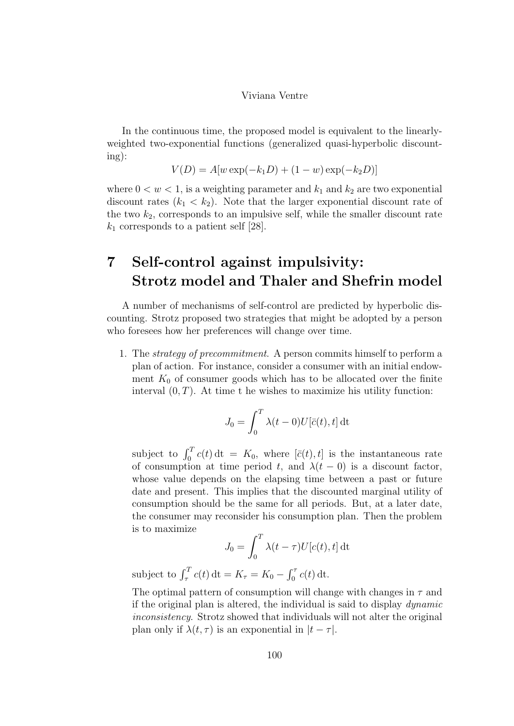In the continuous time, the proposed model is equivalent to the linearlyweighted two-exponential functions (generalized quasi-hyperbolic discounting):

$$
V(D) = A[w \exp(-k_1 D) + (1 - w) \exp(-k_2 D)]
$$

where  $0 < w < 1$ , is a weighting parameter and  $k_1$  and  $k_2$  are two exponential discount rates  $(k_1 < k_2)$ . Note that the larger exponential discount rate of the two  $k_2$ , corresponds to an impulsive self, while the smaller discount rate  $k_1$  corresponds to a patient self [28].

## 7 Self-control against impulsivity: Strotz model and Thaler and Shefrin model

A number of mechanisms of self-control are predicted by hyperbolic discounting. Strotz proposed two strategies that might be adopted by a person who foresees how her preferences will change over time.

1. The strategy of precommitment. A person commits himself to perform a plan of action. For instance, consider a consumer with an initial endowment  $K_0$  of consumer goods which has to be allocated over the finite interval  $(0, T)$ . At time t he wishes to maximize his utility function:

$$
J_0 = \int_0^T \lambda(t-0) U[\bar{c}(t), t] dt
$$

subject to  $\int_0^T c(t) dt = K_0$ , where  $[\bar{c}(t), t]$  is the instantaneous rate of consumption at time period t, and  $\lambda(t-0)$  is a discount factor, whose value depends on the elapsing time between a past or future date and present. This implies that the discounted marginal utility of consumption should be the same for all periods. But, at a later date, the consumer may reconsider his consumption plan. Then the problem is to maximize

$$
J_0 = \int_0^T \lambda(t - \tau) U[c(t), t] dt
$$

subject to  $\int_{\tau}^{T} c(t) dt = K_{\tau} = K_0 - \int_{0}^{\tau} c(t) dt$ .

The optimal pattern of consumption will change with changes in  $\tau$  and if the original plan is altered, the individual is said to display dynamic inconsistency. Strotz showed that individuals will not alter the original plan only if  $\lambda(t, \tau)$  is an exponential in  $|t - \tau|$ .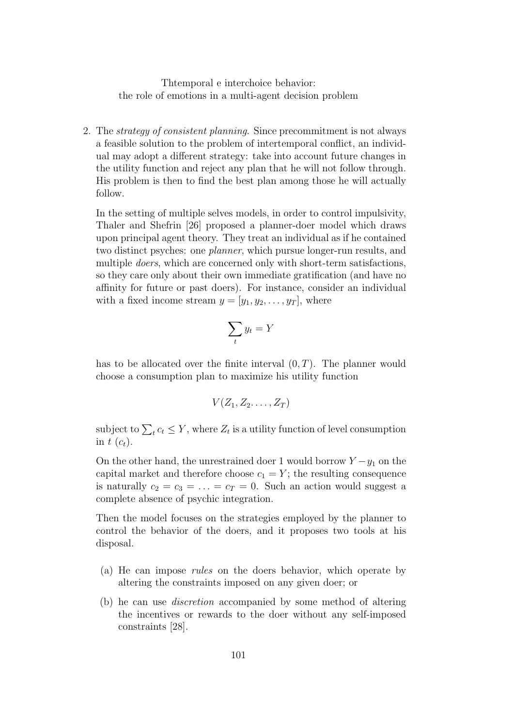2. The strategy of consistent planning. Since precommitment is not always a feasible solution to the problem of intertemporal conflict, an individual may adopt a different strategy: take into account future changes in the utility function and reject any plan that he will not follow through. His problem is then to find the best plan among those he will actually follow.

In the setting of multiple selves models, in order to control impulsivity, Thaler and Shefrin [26] proposed a planner-doer model which draws upon principal agent theory. They treat an individual as if he contained two distinct psyches: one planner, which pursue longer-run results, and multiple *doers*, which are concerned only with short-term satisfactions, so they care only about their own immediate gratification (and have no affinity for future or past doers). For instance, consider an individual with a fixed income stream  $y = [y_1, y_2, \dots, y_T]$ , where

$$
\sum_t y_t = Y
$$

has to be allocated over the finite interval  $(0, T)$ . The planner would choose a consumption plan to maximize his utility function

$$
V(Z_1, Z_2, \ldots, Z_T)
$$

subject to  $\sum_t c_t \leq Y$ , where  $Z_t$  is a utility function of level consumption in t  $(c_t)$ .

On the other hand, the unrestrained doer 1 would borrow  $Y - y_1$  on the capital market and therefore choose  $c_1 = Y$ ; the resulting consequence is naturally  $c_2 = c_3 = \ldots = c_T = 0$ . Such an action would suggest a complete absence of psychic integration.

Then the model focuses on the strategies employed by the planner to control the behavior of the doers, and it proposes two tools at his disposal.

- (a) He can impose rules on the doers behavior, which operate by altering the constraints imposed on any given doer; or
- (b) he can use discretion accompanied by some method of altering the incentives or rewards to the doer without any self-imposed constraints [28].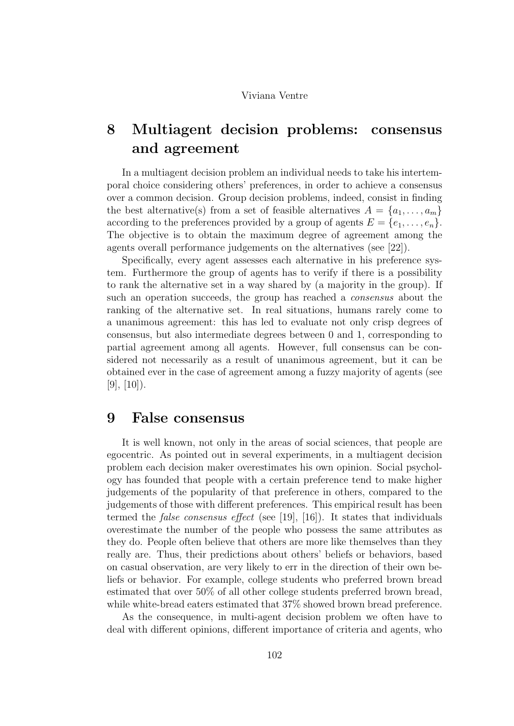## 8 Multiagent decision problems: consensus and agreement

In a multiagent decision problem an individual needs to take his intertemporal choice considering others' preferences, in order to achieve a consensus over a common decision. Group decision problems, indeed, consist in finding the best alternative(s) from a set of feasible alternatives  $A = \{a_1, \ldots, a_m\}$ according to the preferences provided by a group of agents  $E = \{e_1, \ldots, e_n\}.$ The objective is to obtain the maximum degree of agreement among the agents overall performance judgements on the alternatives (see [22]).

Specifically, every agent assesses each alternative in his preference system. Furthermore the group of agents has to verify if there is a possibility to rank the alternative set in a way shared by (a majority in the group). If such an operation succeeds, the group has reached a consensus about the ranking of the alternative set. In real situations, humans rarely come to a unanimous agreement: this has led to evaluate not only crisp degrees of consensus, but also intermediate degrees between 0 and 1, corresponding to partial agreement among all agents. However, full consensus can be considered not necessarily as a result of unanimous agreement, but it can be obtained ever in the case of agreement among a fuzzy majority of agents (see  $[9], [10]$ .

### 9 False consensus

It is well known, not only in the areas of social sciences, that people are egocentric. As pointed out in several experiments, in a multiagent decision problem each decision maker overestimates his own opinion. Social psychology has founded that people with a certain preference tend to make higher judgements of the popularity of that preference in others, compared to the judgements of those with different preferences. This empirical result has been termed the false consensus effect (see [19], [16]). It states that individuals overestimate the number of the people who possess the same attributes as they do. People often believe that others are more like themselves than they really are. Thus, their predictions about others' beliefs or behaviors, based on casual observation, are very likely to err in the direction of their own beliefs or behavior. For example, college students who preferred brown bread estimated that over 50% of all other college students preferred brown bread, while white-bread eaters estimated that 37% showed brown bread preference.

As the consequence, in multi-agent decision problem we often have to deal with different opinions, different importance of criteria and agents, who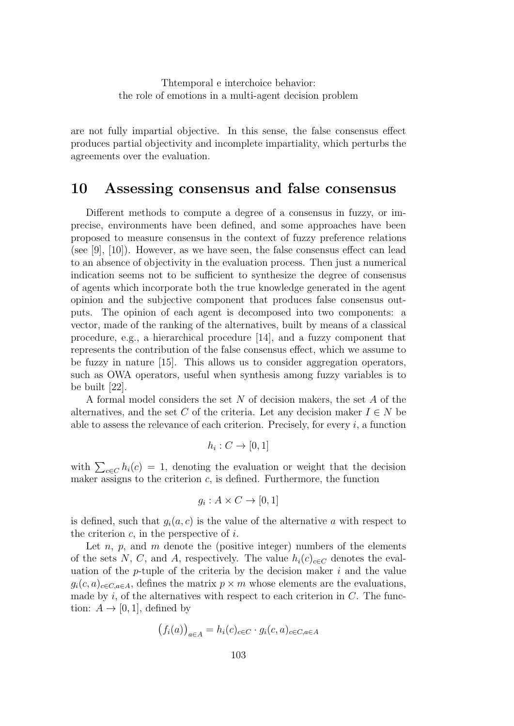are not fully impartial objective. In this sense, the false consensus effect produces partial objectivity and incomplete impartiality, which perturbs the agreements over the evaluation.

### 10 Assessing consensus and false consensus

Different methods to compute a degree of a consensus in fuzzy, or imprecise, environments have been defined, and some approaches have been proposed to measure consensus in the context of fuzzy preference relations (see [9], [10]). However, as we have seen, the false consensus effect can lead to an absence of objectivity in the evaluation process. Then just a numerical indication seems not to be sufficient to synthesize the degree of consensus of agents which incorporate both the true knowledge generated in the agent opinion and the subjective component that produces false consensus outputs. The opinion of each agent is decomposed into two components: a vector, made of the ranking of the alternatives, built by means of a classical procedure, e.g., a hierarchical procedure [14], and a fuzzy component that represents the contribution of the false consensus effect, which we assume to be fuzzy in nature [15]. This allows us to consider aggregation operators, such as OWA operators, useful when synthesis among fuzzy variables is to be built [22].

A formal model considers the set N of decision makers, the set A of the alternatives, and the set C of the criteria. Let any decision maker  $I \in N$  be able to assess the relevance of each criterion. Precisely, for every  $i$ , a function

$$
h_i: C \to [0,1]
$$

with  $\sum_{c \in C} h_i(c) = 1$ , denoting the evaluation or weight that the decision maker assigns to the criterion  $c$ , is defined. Furthermore, the function

$$
g_i: A \times C \to [0,1]
$$

is defined, such that  $g_i(a, c)$  is the value of the alternative a with respect to the criterion  $c$ , in the perspective of  $i$ .

Let  $n, p$ , and  $m$  denote the (positive integer) numbers of the elements of the sets N, C, and A, respectively. The value  $h_i(c)_{c\in\mathbb{C}}$  denotes the evaluation of the  $p$ -tuple of the criteria by the decision maker i and the value  $g_i(c, a)_{c \in C, a \in A}$ , defines the matrix  $p \times m$  whose elements are the evaluations, made by  $i$ , of the alternatives with respect to each criterion in  $C$ . The function:  $A \rightarrow [0, 1]$ , defined by

$$
(f_i(a))_{a \in A} = h_i(c)_{c \in C} \cdot g_i(c, a)_{c \in C, a \in A}
$$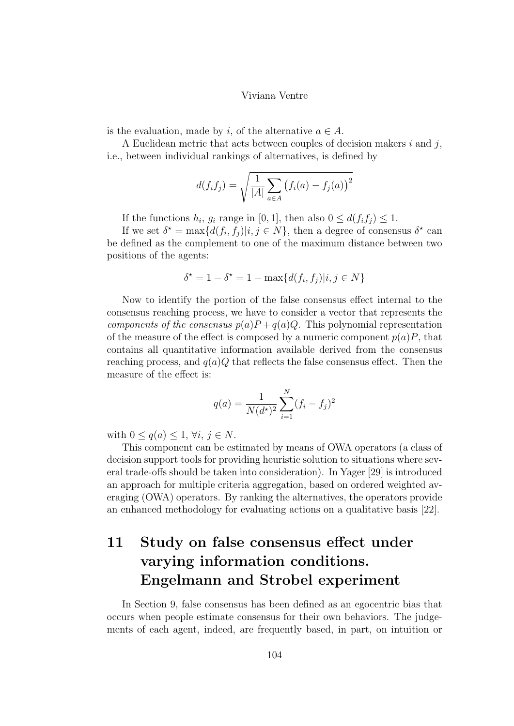is the evaluation, made by i, of the alternative  $a \in A$ .

A Euclidean metric that acts between couples of decision makers  $i$  and  $j$ , i.e., between individual rankings of alternatives, is defined by

$$
d(f_i f_j) = \sqrt{\frac{1}{|A|} \sum_{a \in A} (f_i(a) - f_j(a))^2}
$$

If the functions  $h_i$ ,  $g_i$  range in [0, 1], then also  $0 \leq d(f_i f_j) \leq 1$ .

If we set  $\delta^* = \max\{d(f_i, f_j)|i, j \in N\}$ , then a degree of consensus  $\delta^*$  can be defined as the complement to one of the maximum distance between two positions of the agents:

$$
\delta^* = 1 - \delta^* = 1 - \max\{d(f_i, f_j)|i, j \in N\}
$$

Now to identify the portion of the false consensus effect internal to the consensus reaching process, we have to consider a vector that represents the components of the consensus  $p(a)P + q(a)Q$ . This polynomial representation of the measure of the effect is composed by a numeric component  $p(a)P$ , that contains all quantitative information available derived from the consensus reaching process, and  $q(a)Q$  that reflects the false consensus effect. Then the measure of the effect is:

$$
q(a) = \frac{1}{N(d^*)^2} \sum_{i=1}^{N} (f_i - f_j)^2
$$

with  $0 \leq q(a) \leq 1, \forall i, j \in N$ .

This component can be estimated by means of OWA operators (a class of decision support tools for providing heuristic solution to situations where several trade-offs should be taken into consideration). In Yager [29] is introduced an approach for multiple criteria aggregation, based on ordered weighted averaging (OWA) operators. By ranking the alternatives, the operators provide an enhanced methodology for evaluating actions on a qualitative basis [22].

## 11 Study on false consensus effect under varying information conditions. Engelmann and Strobel experiment

In Section 9, false consensus has been defined as an egocentric bias that occurs when people estimate consensus for their own behaviors. The judgements of each agent, indeed, are frequently based, in part, on intuition or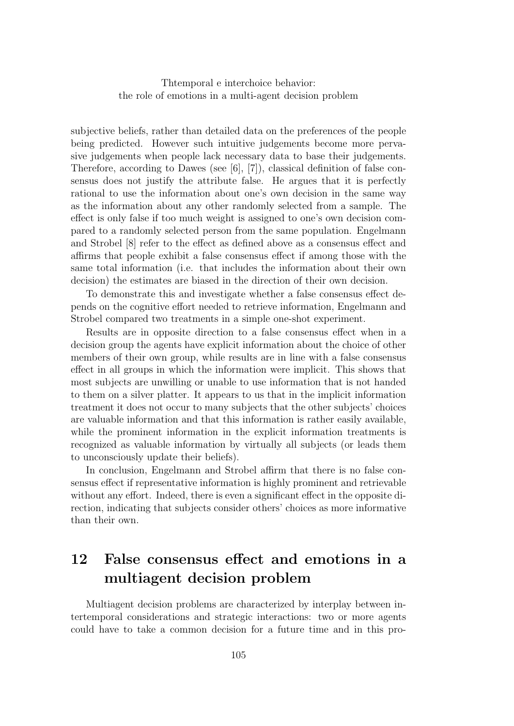subjective beliefs, rather than detailed data on the preferences of the people being predicted. However such intuitive judgements become more pervasive judgements when people lack necessary data to base their judgements. Therefore, according to Dawes (see [6], [7]), classical definition of false consensus does not justify the attribute false. He argues that it is perfectly rational to use the information about one's own decision in the same way as the information about any other randomly selected from a sample. The effect is only false if too much weight is assigned to one's own decision compared to a randomly selected person from the same population. Engelmann and Strobel [8] refer to the effect as defined above as a consensus effect and affirms that people exhibit a false consensus effect if among those with the same total information (i.e. that includes the information about their own decision) the estimates are biased in the direction of their own decision.

To demonstrate this and investigate whether a false consensus effect depends on the cognitive effort needed to retrieve information, Engelmann and Strobel compared two treatments in a simple one-shot experiment.

Results are in opposite direction to a false consensus effect when in a decision group the agents have explicit information about the choice of other members of their own group, while results are in line with a false consensus effect in all groups in which the information were implicit. This shows that most subjects are unwilling or unable to use information that is not handed to them on a silver platter. It appears to us that in the implicit information treatment it does not occur to many subjects that the other subjects' choices are valuable information and that this information is rather easily available, while the prominent information in the explicit information treatments is recognized as valuable information by virtually all subjects (or leads them to unconsciously update their beliefs).

In conclusion, Engelmann and Strobel affirm that there is no false consensus effect if representative information is highly prominent and retrievable without any effort. Indeed, there is even a significant effect in the opposite direction, indicating that subjects consider others' choices as more informative than their own.

## 12 False consensus effect and emotions in a multiagent decision problem

Multiagent decision problems are characterized by interplay between intertemporal considerations and strategic interactions: two or more agents could have to take a common decision for a future time and in this pro-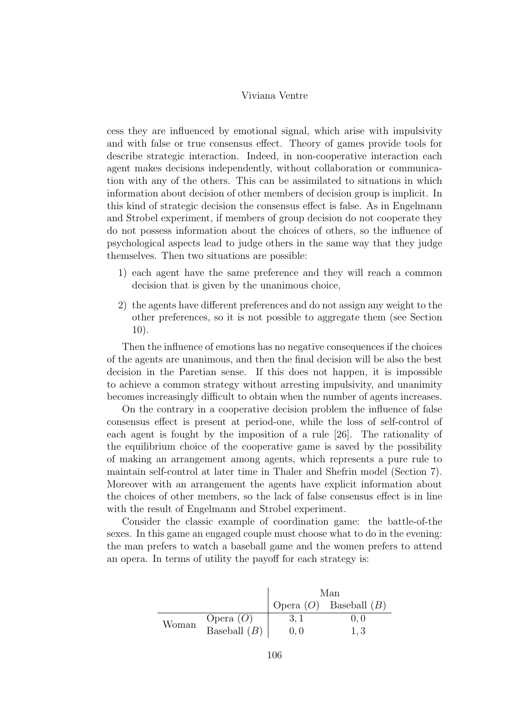cess they are influenced by emotional signal, which arise with impulsivity and with false or true consensus effect. Theory of games provide tools for describe strategic interaction. Indeed, in non-cooperative interaction each agent makes decisions independently, without collaboration or communication with any of the others. This can be assimilated to situations in which information about decision of other members of decision group is implicit. In this kind of strategic decision the consensus effect is false. As in Engelmann and Strobel experiment, if members of group decision do not cooperate they do not possess information about the choices of others, so the influence of psychological aspects lead to judge others in the same way that they judge themselves. Then two situations are possible:

- 1) each agent have the same preference and they will reach a common decision that is given by the unanimous choice,
- 2) the agents have different preferences and do not assign any weight to the other preferences, so it is not possible to aggregate them (see Section 10).

Then the influence of emotions has no negative consequences if the choices of the agents are unanimous, and then the final decision will be also the best decision in the Paretian sense. If this does not happen, it is impossible to achieve a common strategy without arresting impulsivity, and unanimity becomes increasingly difficult to obtain when the number of agents increases.

On the contrary in a cooperative decision problem the influence of false consensus effect is present at period-one, while the loss of self-control of each agent is fought by the imposition of a rule [26]. The rationality of the equilibrium choice of the cooperative game is saved by the possibility of making an arrangement among agents, which represents a pure rule to maintain self-control at later time in Thaler and Shefrin model (Section 7). Moreover with an arrangement the agents have explicit information about the choices of other members, so the lack of false consensus effect is in line with the result of Engelmann and Strobel experiment.

Consider the classic example of coordination game: the battle-of-the sexes. In this game an engaged couple must choose what to do in the evening: the man prefers to watch a baseball game and the women prefers to attend an opera. In terms of utility the payoff for each strategy is:

|       |                | Man |                            |
|-------|----------------|-----|----------------------------|
|       |                |     | Opera $(O)$ Baseball $(B)$ |
| Woman | Opera $(O)$    | 3.1 | (1, 1)                     |
|       | Baseball $(B)$ | 0.0 | 1.3                        |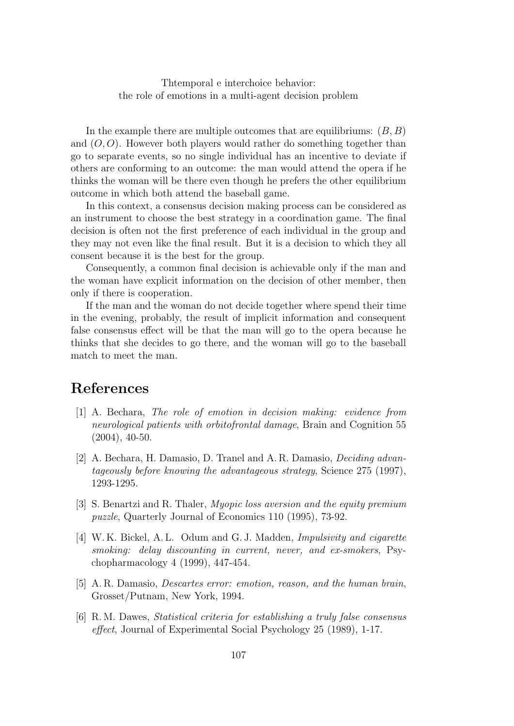In the example there are multiple outcomes that are equilibriums:  $(B, B)$ and  $(O, O)$ . However both players would rather do something together than go to separate events, so no single individual has an incentive to deviate if others are conforming to an outcome: the man would attend the opera if he thinks the woman will be there even though he prefers the other equilibrium outcome in which both attend the baseball game.

In this context, a consensus decision making process can be considered as an instrument to choose the best strategy in a coordination game. The final decision is often not the first preference of each individual in the group and they may not even like the final result. But it is a decision to which they all consent because it is the best for the group.

Consequently, a common final decision is achievable only if the man and the woman have explicit information on the decision of other member, then only if there is cooperation.

If the man and the woman do not decide together where spend their time in the evening, probably, the result of implicit information and consequent false consensus effect will be that the man will go to the opera because he thinks that she decides to go there, and the woman will go to the baseball match to meet the man.

### References

- [1] A. Bechara, The role of emotion in decision making: evidence from neurological patients with orbitofrontal damage, Brain and Cognition 55 (2004), 40-50.
- [2] A. Bechara, H. Damasio, D. Tranel and A. R. Damasio, Deciding advantageously before knowing the advantageous strategy, Science 275 (1997), 1293-1295.
- [3] S. Benartzi and R. Thaler, Myopic loss aversion and the equity premium puzzle, Quarterly Journal of Economics 110 (1995), 73-92.
- [4] W. K. Bickel, A. L. Odum and G. J. Madden, Impulsivity and cigarette smoking: delay discounting in current, never, and ex-smokers, Psychopharmacology 4 (1999), 447-454.
- [5] A. R. Damasio, Descartes error: emotion, reason, and the human brain, Grosset/Putnam, New York, 1994.
- [6] R. M. Dawes, Statistical criteria for establishing a truly false consensus effect, Journal of Experimental Social Psychology 25 (1989), 1-17.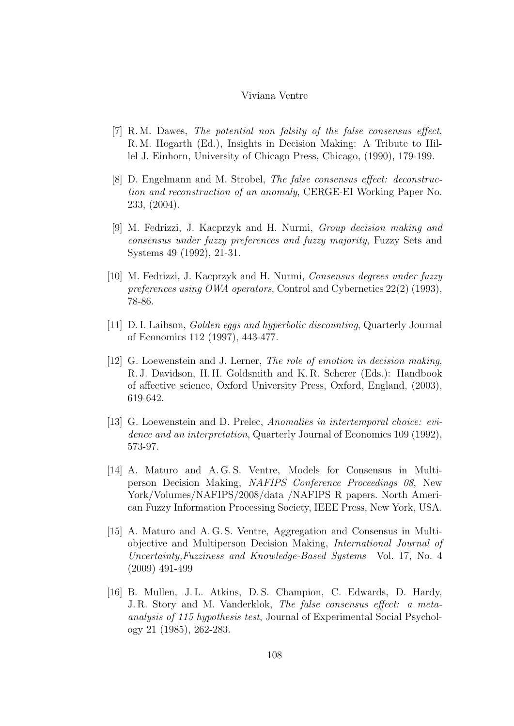- [7] R. M. Dawes, The potential non falsity of the false consensus effect, R. M. Hogarth (Ed.), Insights in Decision Making: A Tribute to Hillel J. Einhorn, University of Chicago Press, Chicago, (1990), 179-199.
- [8] D. Engelmann and M. Strobel, The false consensus effect: deconstruction and reconstruction of an anomaly, CERGE-EI Working Paper No. 233, (2004).
- [9] M. Fedrizzi, J. Kacprzyk and H. Nurmi, Group decision making and consensus under fuzzy preferences and fuzzy majority, Fuzzy Sets and Systems 49 (1992), 21-31.
- [10] M. Fedrizzi, J. Kacprzyk and H. Nurmi, Consensus degrees under fuzzy preferences using OWA operators, Control and Cybernetics 22(2) (1993), 78-86.
- [11] D. I. Laibson, Golden eggs and hyperbolic discounting, Quarterly Journal of Economics 112 (1997), 443-477.
- [12] G. Loewenstein and J. Lerner, The role of emotion in decision making, R. J. Davidson, H. H. Goldsmith and K. R. Scherer (Eds.): Handbook of affective science, Oxford University Press, Oxford, England, (2003), 619-642.
- [13] G. Loewenstein and D. Prelec, Anomalies in intertemporal choice: evidence and an interpretation, Quarterly Journal of Economics 109 (1992), 573-97.
- [14] A. Maturo and A.G.S. Ventre, Models for Consensus in Multiperson Decision Making, NAFIPS Conference Proceedings 08, New York/Volumes/NAFIPS/2008/data /NAFIPS R papers. North American Fuzzy Information Processing Society, IEEE Press, New York, USA.
- [15] A. Maturo and A. G. S. Ventre, Aggregation and Consensus in Multiobjective and Multiperson Decision Making, International Journal of Uncertainty,Fuzziness and Knowledge-Based Systems Vol. 17, No. 4 (2009) 491-499
- [16] B. Mullen, J. L. Atkins, D. S. Champion, C. Edwards, D. Hardy, J. R. Story and M. Vanderklok, The false consensus effect: a metaanalysis of 115 hypothesis test, Journal of Experimental Social Psychology 21 (1985), 262-283.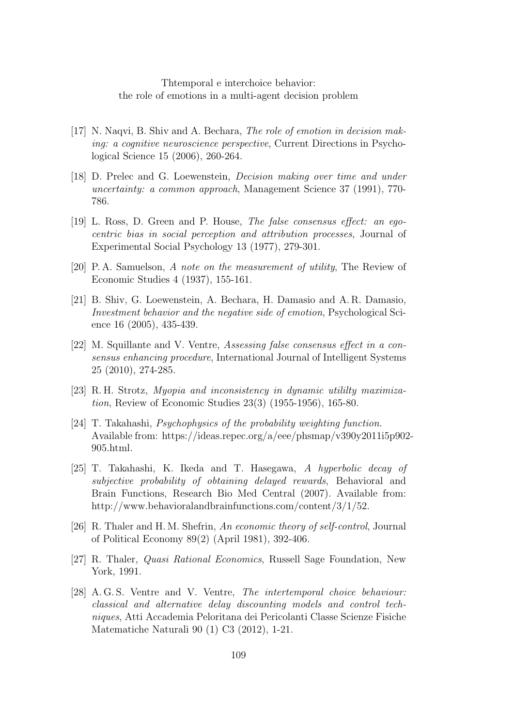- [17] N. Naqvi, B. Shiv and A. Bechara, The role of emotion in decision making: a cognitive neuroscience perspective, Current Directions in Psychological Science 15 (2006), 260-264.
- [18] D. Prelec and G. Loewenstein, Decision making over time and under uncertainty: a common approach, Management Science 37 (1991), 770- 786.
- [19] L. Ross, D. Green and P. House, The false consensus effect: an egocentric bias in social perception and attribution processes, Journal of Experimental Social Psychology 13 (1977), 279-301.
- [20] P. A. Samuelson, A note on the measurement of utility, The Review of Economic Studies 4 (1937), 155-161.
- [21] B. Shiv, G. Loewenstein, A. Bechara, H. Damasio and A. R. Damasio, Investment behavior and the negative side of emotion, Psychological Science 16 (2005), 435-439.
- [22] M. Squillante and V. Ventre, Assessing false consensus effect in a consensus enhancing procedure, International Journal of Intelligent Systems 25 (2010), 274-285.
- [23] R. H. Strotz, Myopia and inconsistency in dynamic utililty maximization, Review of Economic Studies 23(3) (1955-1956), 165-80.
- [24] T. Takahashi, Psychophysics of the probability weighting function. Available from: https://ideas.repec.org/a/eee/phsmap/v390y2011i5p902- 905.html.
- [25] T. Takahashi, K. Ikeda and T. Hasegawa, A hyperbolic decay of subjective probability of obtaining delayed rewards, Behavioral and Brain Functions, Research Bio Med Central (2007). Available from: http://www.behavioralandbrainfunctions.com/content/3/1/52.
- [26] R. Thaler and H. M. Shefrin, An economic theory of self-control, Journal of Political Economy 89(2) (April 1981), 392-406.
- [27] R. Thaler, Quasi Rational Economics, Russell Sage Foundation, New York, 1991.
- [28] A. G. S. Ventre and V. Ventre, The intertemporal choice behaviour: classical and alternative delay discounting models and control techniques, Atti Accademia Peloritana dei Pericolanti Classe Scienze Fisiche Matematiche Naturali 90 (1) C3 (2012), 1-21.